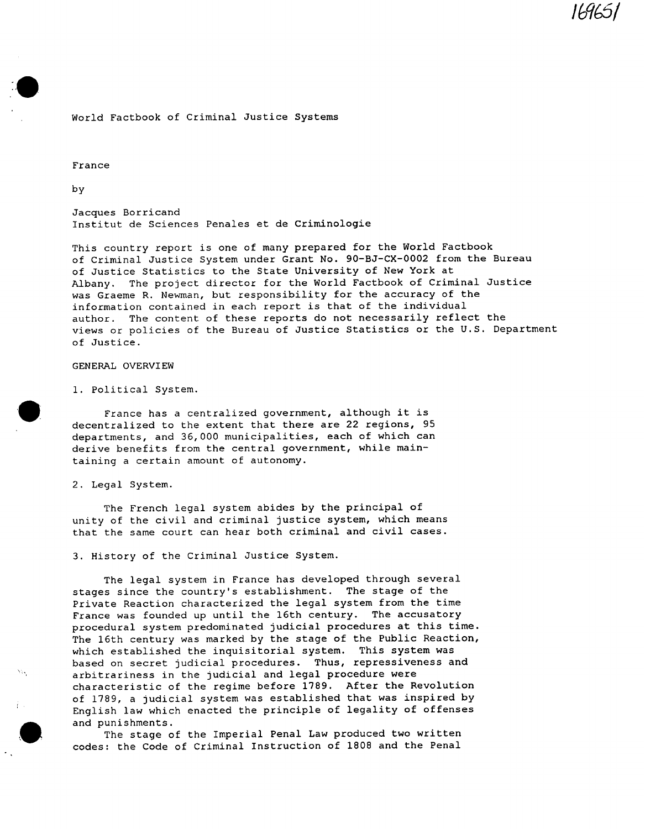# **/6q l**

# World Factbook of Criminal Justice Systems

France

by

Jacques Borricand Institut de Sciences Penales et de Criminologie

This country report is one of many prepared for the World Factbook of Criminal Justice System under Grant No. 90-BJ-CX-0002 from the Bureau of Justice Statistics to the State University of New York at Albany. The project director for the World Factbook of Criminal Justice was Graeme R. Newman, but responsibility for the accuracy of the information contained in each report is that of the individual author. The content of these reports do not necessarily reflect the views or policies of the Bureau of Justice Statistics or the U.S. Department of Justice.

## GENERAL OVERVIEW

i. Political System.

France has a centralized government, although it is decentralized to the extent that there are 22 regions, 95 departments, and 36,000 municipalities, each of which can derive benefits from the central government, while maintaining a certain amount of autonomy.

2. Legal System.

The French legal system abides by the principal of unity of the civil and criminal justice system, which means that the same court can hear both criminal and civil cases.

3. History of the Criminal Justice System.

The legal system in France has developed through several stages since the country's establishment. The stage of the Private Reaction characterized the legal system from the time France was founded up until the 16th century. The accusatory procedural system predominated judicial procedures at this time. The 16th century was marked by the stage of the Public Reaction, which established the inquisitorial system. This system was based on secret judicial procedures. Thus, repressiveness and arbitrariness in the judicial and legal procedure were characteristic of the regime before 1789. After the Revolution of 1789, a judicial system was established that was inspired by English law which enacted the principle of legality of offenses and punishments.

The stage of the Imperial Penal Law produced two written codes: the Code of Criminal Instruction of 1808 and the Penal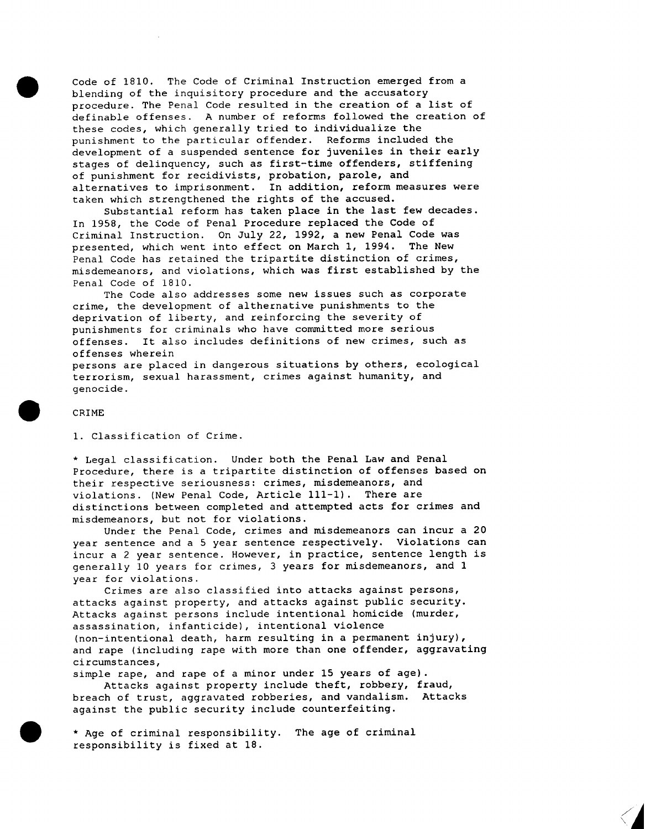Code of 1810. The Code of Criminal Instruction emerged from a blending of the inquisitory procedure and the accusatory procedure. The Penal Code resulted in the creation of a list of definable offenses. A number of reforms followed the creation of these codes, which generally tried to individualize the punishment to the particular offender. Reforms included the development of a suspended sentence for juveniles in their early stages of delinquency, such as first-time offenders, stiffening of punishment for recidivists, probation, parole, and alternatives to imprisonment. In addition, reform measures were taken which strengthened the rights of the accused.

Substantial reform has taken place in the last few decades. In 1958, the Code of Penal Procedure replaced the Code of Criminal Instruction. On July 22, 1992, a new Penal Code was presented, which went into effect on March I, 1994. The New Penal Code has retained the tripartite distinction of crimes, misdemeanors, and violations, which was first established by the Penal Code of 1810.

The Code also addresses some new issues such as corporate crime, the development of althernative punishments to the deprivation of liberty, and reinforcing the severity of punishments for criminals who have committed more serious offenses. It also includes definitions of new crimes, such as offenses wherein

persons are placed in dangerous situations by others, ecological terrorism, sexual harassment, crimes against humanity, and genocide.

#### CRIME

i. Classification of Crime.

\* Legal classification. Under both the Penal Law and Penal Procedure, there is a tripartite distinction of offenses based on their respective seriousness: crimes, misdemeanors, and violations. (New Penal Code, Article III-I). There are distinctions between completed and attempted acts for crimes and misdemeanors, but not for violations.

Under the Penal Code, crimes and misdemeanors can incur a 20 year sentence and a 5 year sentence respectively. Violations can incur a 2 year sentence. However, in practice, sentence length is generally 10 years for crimes, 3 years for misdemeanors, and 1 year for violations.

Crimes are also classified into attacks against persons, attacks against property, and attacks against public security. Attacks against persons include intentional homicide (murder, assassination, infanticide), intentional violence (non-intentional death, harm resulting in a permanent injury), and rape (including rape with more than one offender, aggravating circumstances,

simple rape, and rape of a minor under 15 years of age). Attacks against property include theft, robbery, fraud, breach of trust, aggravated robberies, and vandalism. Attacks against the public security include counterfeiting.

\* Age of criminal responsibility. The age of criminal responsibility is fixed at 18.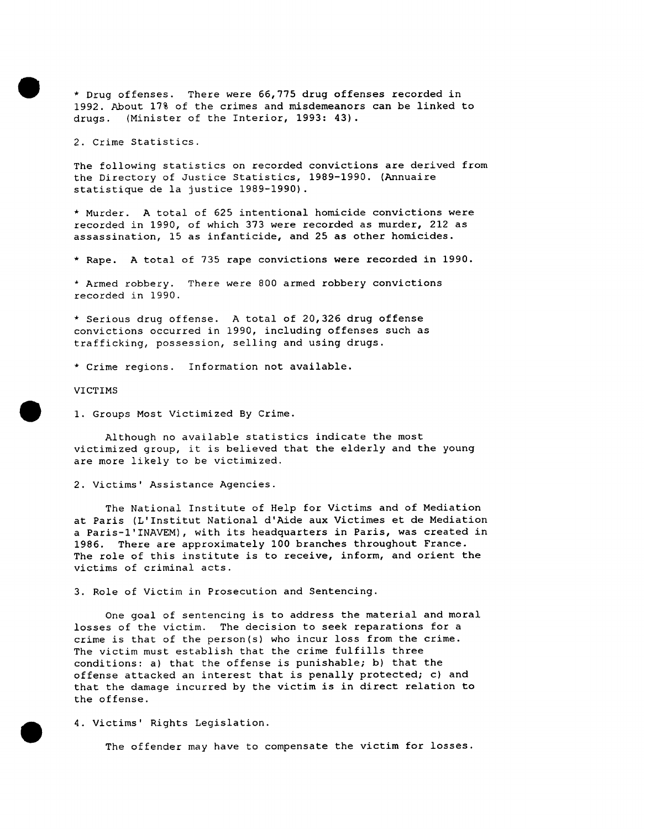\* Drug offenses. There were 66,775 drug offenses recorded in 1992. About 17% of the crimes and misdemeanors can be linked to drugs. (Minister of the Interior, 1993: 43).

2. Crime Statistics.

The following statistics on recorded convictions are derived from the Directory of Justice Statistics, 1989-1990. (Annuaire statistique de la justice 1989-1990).

\* Murder. A total of 625 intentional homicide convictions were recorded in 1990, of which 373 were recorded as murder, 212 as assassination, 15 as infanticide, and 25 as other homicides.

\* Rape. A total of 735 rape convictions were recorded in 1990.

\* Armed robbery. There were 800 armed robbery convictions recorded in 1990.

\* Serious drug offense. A total of 20,326 drug offense convictions occurred in 1990, including offenses such as trafficking, possession, selling and using drugs.

\* Crime regions. Information not available.

VICTIMS

I. Groups Most Victimized By Crime.

Although no available statistics indicate the most victimized group, it is believed that the elderly and the young are more likely to be victimized.

2. Victims' Assistance Agencies.

The National Institute of Help for Victims and of Mediation at Paris (L'Institut National d'Aide aux Victimes et de Mediation a Paris-I'INAVEM), with its headquarters in Paris, was created in 1986. There are approximately 100 branches throughout France. The role of this institute is to receive, inform, and orient the victims of criminal acts.

3. Role of Victim in Prosecution and Sentencing.

One goal of sentencing is to address the material and moral losses of the victim. The decision to seek reparations for a crime is that of the person(s) who incur loss from the crime. The victim must establish that the crime fulfills three conditions: a) that the offense is punishable; b) that the offense attacked an interest that is penally protected; c) and that the damage incurred by the victim is in direct relation to the offense.

4. Victims' Rights Legislation.

The offender may have to compensate the victim for losses.

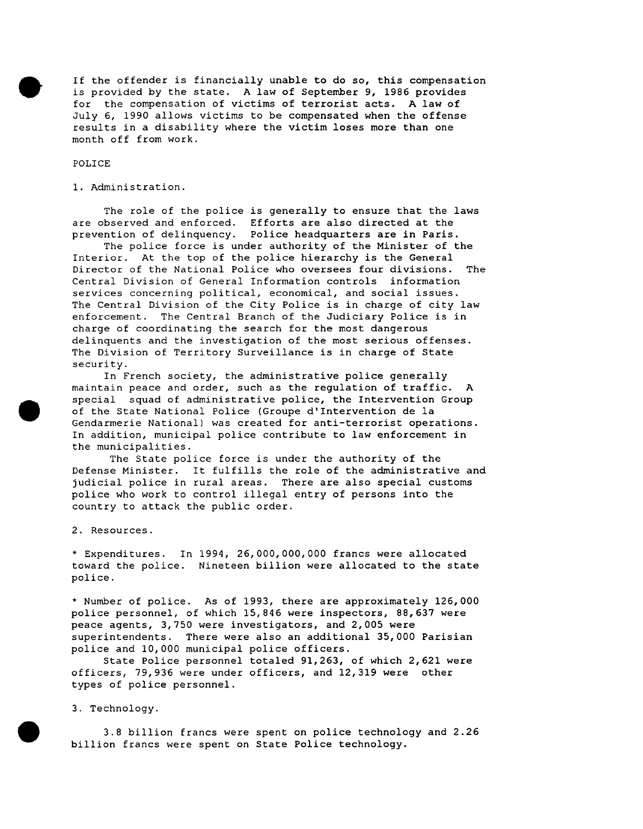If the offender is financially unable to do so, this compensation is provided by the state. A law of September 9, 1986 provides for the compensation of victims of terrorist acts. A law of July 6, 1990 allows victims to be compensated when the offense results in a disability where the victim loses more than one month off from work.

### POLICE

I. Administration.

The role of the police is generally to ensure that the laws are observed and enforced. Efforts are also directed at the prevention of delinquency. Police headquarters are in Paris.

The police force is under authority of the Minister of the Interior. At the top of the police hierarchy is the General Director of the National Police who oversees four divisions. The Central Division of General Information controls information services concerning political, economical, and social issues. The Central Division of the City Police is in charge of city law enforcement. The Central Branch of the Judiciary Police is in charge of coordinating the search for the most dangerous delinquents and the investigation of the most serious offenses. The Division of Territory Surveillance is in charge of State security.

In French society, the administrative police generally maintain peace and order, such as the regulation of traffic. A special squad of administrative police, the Intervention Group of the State National Police (Groupe d'Intervention de la Gendarmerie National) was created for anti-terrorist operations. In addition, municipal police contribute to law enforcement in the municipalities.

The State police force is under the authority of the Defense Minister. It fulfills the role of the administrative and judicial police in rural areas. There are also special customs police who work to control illegal entry of persons into the country to attack the public order.

2. Resources.

\* Expenditures. In 1994, 26,000,000,000 francs were allocated toward the police. Nineteen billion were allocated to the state police.

\* Number of police. As of 1993, there are approximately 126,000 police personnel, of which 15,846 were inspectors, 88,637 were peace agents, 3,750 were investigators, and 2,005 were superintendents. There were also an additional 35,000 Parisian police and i0,000 municipal police officers.

State Police personnel totaled 91,263, of which 2,621 were officers, 79,936 were under officers, and 12,319 were other types of police personnel.

3. Technology.

3.8 billion francs were spent on police technology and 2.26 billion francs were spent on State Police technology.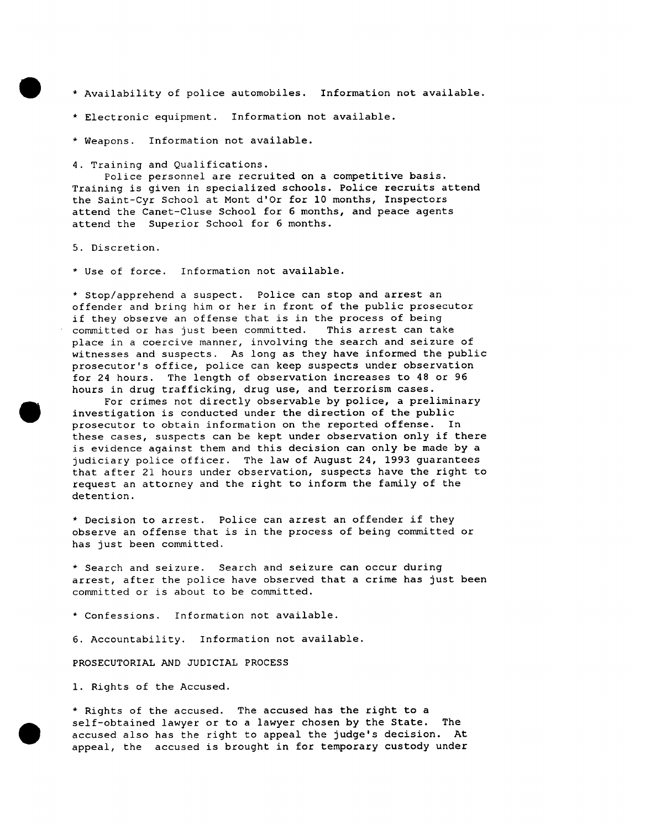- \* Availability of police automobiles. Information not available.
- \* Electronic equipment. Information not available.
- \* Weapons. Information not available.

4. Training and Qualifications.

Police personnel are recruited on a competitive basis. Training is given in specialized schools. Police recruits attend the Saint-Cyr School at Mont d'Or for I0 months, Inspectors attend the Canet-Cluse School for 6 months, and peace agents attend the Superior School for 6 months.

5. Discretion.

\* Use of force. Information not available.

\* Stop/apprehend a suspect. Police can stop and arrest an offender and bring him or her in front of the public prosecutor if they observe an offense that is in the process of being committed or has just been committed. This arrest can take place in a coercive manner, involving the search and seizure of witnesses and suspects. As long as they have informed the public prosecutor's office, police can keep suspects under observation for 24 hours. The length of observation increases to 48 or 96 hours in drug trafficking, drug use, and terrorism cases.

For crimes not directly observable by police, a preliminary investigation is conducted under the direction of the public prosecutor to obtain information on the reported offense. In these cases, suspects can be kept under observation only if there is evidence against them and this decision can only be made by a judiciary police officer. The law of August 24, 1993 guarantees that after 21 hours under observation, suspects have the right to request an attorney and the right to inform the family of the detention.

\* Decision to arrest. Police can arrest an offender if they observe an offense that is in the process of being committed or has just been committed.

\* Search and seizure. Search and seizure can occur during arrest, after the police have observed that a crime has just been committed or is about to be committed.

\* Confessions. Information not available.

6. Accountability. Information not available.

PROSECUTORIAL AND JUDICIAL PROCESS

1. Rights of the Accused.

\* Rights of the accused. The accused has the right to a self-obtained lawyer or to a lawyer chosen by the State. The accused also has the right to appeal the judge's decision. At appeal, the accused is brought in for temporary custody under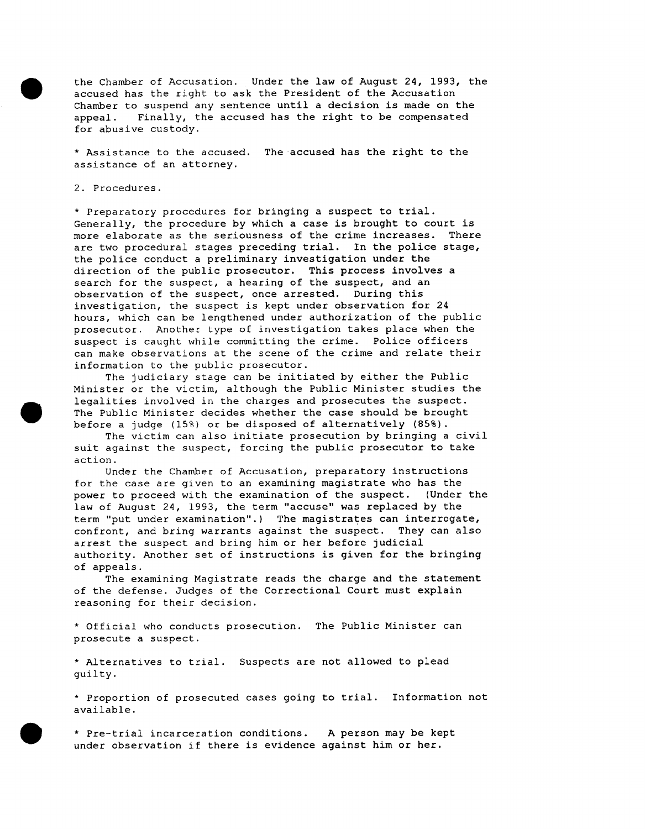the Chamber of Accusation. Under the law of August 24, 1993, the accused has the right to ask the President of the Accusation Chamber to suspend any sentence until a decision is made on the appeal. Finally, the accused has the right to be compensated for abusive custody.

\* Assistance to the accused. The accused has the right to the assistance of an attorney.

2. Procedures.

\* Preparatory procedures for bringing a suspect to trial. Generally, the procedure by which a case is brought to court is more elaborate as the seriousness of the crime increases. There are two procedural stages preceding trial. In the police stage, the police conduct a preliminary investigation under the direction of the public prosecutor. This process involves a search for the suspect, a hearing of the suspect, and an observation of the suspect, once arrested. During this investigation, the suspect is kept under observation for 24 hours, which can be lengthened under authorization of the public prosecutor. Another type of investigation takes place when the suspect is caught while committing the crime. Police officers can make observations at the scene of the crime and relate their information to the public prosecutor.

The judiciary stage can be initiated by either the Public Minister or the victim, although the Public Minister studies the legalities involved in the charges and prosecutes the suspect. The Public Minister decides whether the case should be brought before a judge (15%) or be disposed of alternatively (85%).

The victim can also initiate prosecution by bringing a civil suit against the suspect, forcing the public prosecutor to take action.

Under the Chamber of Accusation, preparatory instructions for the case are given to an examining magistrate who has the power to proceed with the examination of the suspect. (Under the law of August 24, 1993, the term "accuse" was replaced by the term "put under examination".) The magistrates can interrogate, confront, and bring warrants against the suspect. They can also arrest the suspect and bring him or her before judicial authority. Another set of instructions is given for the bringing of appeals.

The examining Magistrate reads the charge and the statement of the defense. Judges of the Correctional Court must explain reasoning for their decision.

\* Official who conducts prosecution. The Public Minister can prosecute a suspect.

\* Alternatives to trial. Suspects are not allowed to plead guilty.

\* Proportion of prosecuted cases going to trial. Information not available.

\* Pre-trial incarceration conditions. A person may be kept under observation if there is evidence against him or her.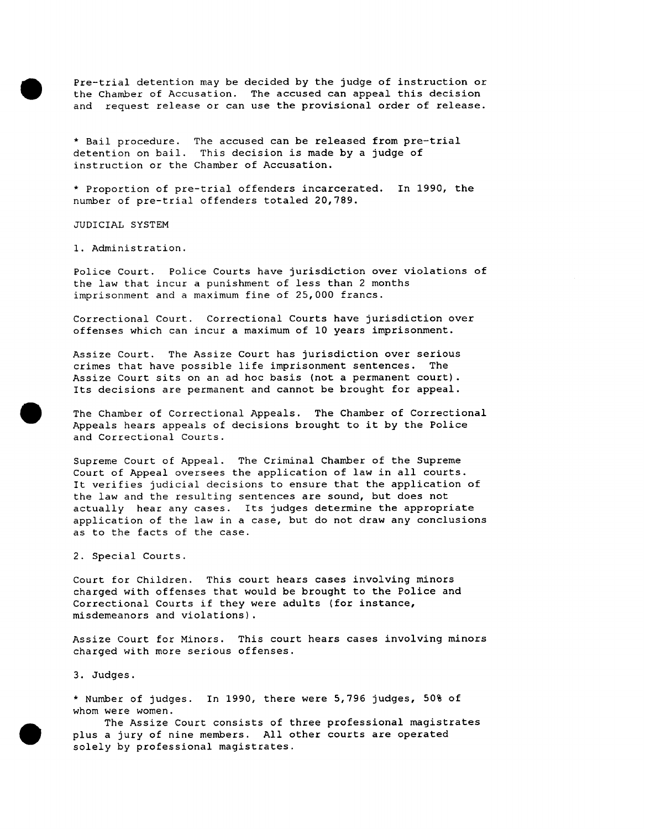Pre-trial detention may be decided by the judge of instruction or the Chamber of Accusation. The accused can appeal this decision and request release or can use the provisional order of release.

\* Bail procedure. The accused can be released from pre-trial detention on bail. This decision is made by a judge of instruction or the Chamber of Accusation.

\* Proportion of pre-trial offenders incarcerated. In 1990, the number of pre-trial offenders totaled 20,789.

JUDICIAL SYSTEM

i. Administration.

Police Court. Police Courts have jurisdiction over violations of the law that incur a punishment of less than 2 months imprisonment and a maximum fine of 25,000 francs.

Correctional Court. Correctional Courts have jurisdiction over offenses which can incur a maximum of I0 years imprisonment.

Assize Court. The Assize Court has jurisdiction over serious crimes that have possible life imprisonment sentences. The Assize Court sits on an ad hoc basis (not a permanent court). Its decisions are permanent and cannot be brought for appeal.

The Chamber of Correctional Appeals. The Chamber of Correctional Appeals hears appeals of decisions brought to it by the Police and Correctional Courts.

Supreme Court of Appeal. The Criminal Chamber of the Supreme Court of Appeal oversees the application of law in all courts. It verifies judicial decisions to ensure that the application of the law and the resulting sentences are sound, but does not actually hear any cases. Its judges determine the appropriate application of the law in a case, but do not draw any conclusions as to the facts of the case.

2. Special Courts.

Court for Children. This court hears cases involving minors charged with offenses that would be brought to the Police and Correctional Courts if they were adults (for instance, misdemeanors and violations).

Assize Court for Minors. This court hears cases involving minors charged with more serious offenses.

3. Judges.

\* Number of judges. In 1990, there were 5,796 judges, 50% of whom were women.

The Assize Court consists of three professional magistrates plus a jury of nine members. All other courts are operated solely by professional magistrates.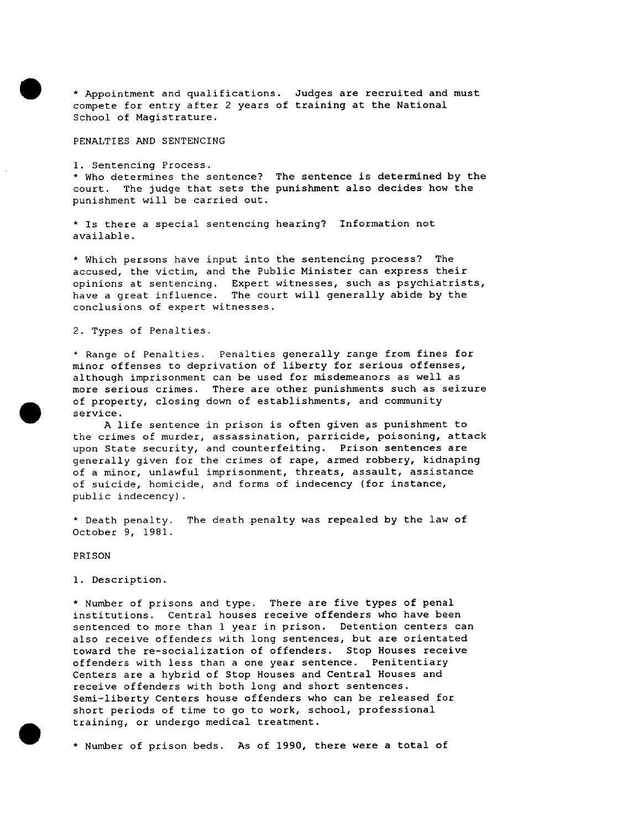\* Appointment and qualifications. Judges are recruited and must compete for entry after 2 years of training at the National School of Magistrature.

PENALTIES AND SENTENCING

I. Sentencing Process. \* Who determines the sentence? The sentence is determined by the court. The judge that sets the punishment also decides how the punishment will be carried out.

\* Is there a special sentencing hearing? Information not available.

\* Which persons have input into the sentencing process? The accused, the victim, and the Public Minister can express their opinions at sentencing. Expert witnesses, such as psychiatrists, have a great influence. The court will generally abide by the conclusions of expert witnesses.

2. Types of Penalties.

\* Range of Penalties. Penalties generally range from fines for minor offenses to deprivation of liberty for serious offenses, although imprisonment can be used for misdemeanors as well as more serious crimes. There are other punishments such as seizure of property, closing down of establishments, and community service.

A life sentence in prison is often given as punishment to the crimes of murder, assassination, parricide, poisoning, attack upon State security, and counterfeiting. Prison sentences are generally given for the crimes of rape, armed robbery, kidnaping of a minor, unlawful imprisonment, threats, assault, assistance of suicide, homicide, and forms of indecency (for instance, public indecency).

\* Death penalty. The death penalty was repealed by the law of October 9, 1981.

PRISON

I. Description.

\* Number of prisons and type. There are five types of penal institutions. Central houses receive offenders who have been sentenced to more than 1 year in prison. Detention centers can also receive offenders with long sentences, but are orientated toward the re-socialization of offenders. Stop Houses receive offenders with less than a one year sentence. Penitentiary Centers are a hybrid of Stop Houses and Central Houses and receive offenders with both long and short sentences. Semi-liberty Centers house offenders who can be released for short periods of time to go to work, school, professional training, or undergo medical treatment.

\* Number of prison beds. As of 1990, there were a total of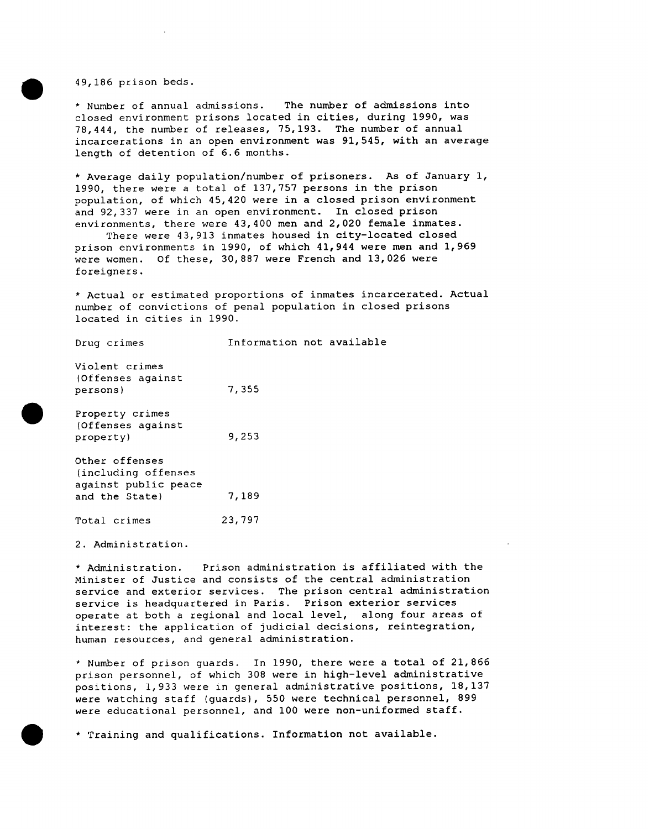49,186 prison beds.

\* Number of annual admissions. The number of admissions into closed environment prisons located in cities, during 1990, was 78,444, the number of releases, 75,193. The number of annual incarcerations in an open environment was 91,545, with an average length of detention of 6.6 months.

\* Average daily population/number of prisoners. As of January i, 1990, there were a total of 137,757 persons in the prison population, of which 45,420 were in a closed prison environment and 92,337 were in an open environment. In closed prison environments, there were 43,400 men and 2,020 female inmates.

There were 43,913 inmates housed in city-located closed prison environments in 1990, of which 41,944 were men and 1,969 were women. Of these, 30,887 were French and 13,026 were foreigners.

\* Actual or estimated proportions of inmates incarcerated. Actual number of convictions of penal population in closed prisons located in cities in 1990.

Violent crimes (Offenses against persons) 7,355

Drug crimes **Information** not available

Property crimes (Offenses against property) 9,253

Other offenses (including offenses against public peace and the State) 7,189

Total crimes 23,797

2. Administration.

\* Administration. Prison administration is affiliated with the Minister of Justice and consists of the central administration service and exterior services. The prison central administration service is headquartered in Paris. Prison exterior services operate at both a regional and local level, along four areas of interest: the application of judicial decisions, reintegration, human resources, and general administration.

\* Number of prison guards. In 1990, there were a total of 21,866 prison personnel, of which 308 were in high-level administrative positions, 1,933 were in general administrative positions, 18,137 were watching staff (guards), 550 were technical personnel, 899 were educational personnel, and I00 were non-uniformed staff.

\* Training and qualifications. Information not available.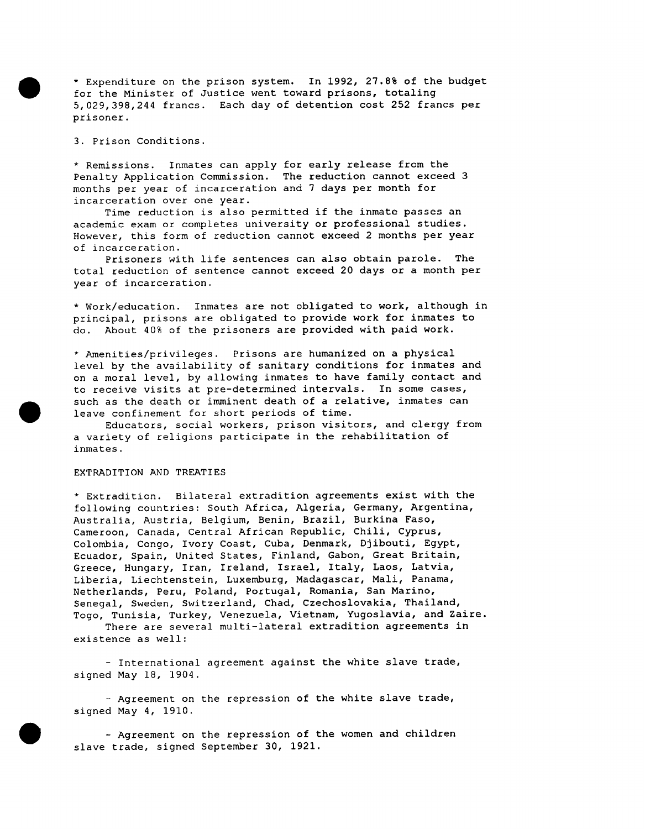\* Expenditure on the prison system. In 1992, 27.8% of the budget for the Minister of Justice went toward prisons, totaling 5,029,398,244 francs. Each day of detention cost 252 francs per prisoner.

3. Prison Conditions.

\* Remissions. Inmates can apply for early release from the Penalty Application Commission. The reduction cannot exceed 3 months per year of incarceration and 7 days per month for incarceration over one year.

Time reduction is also permitted if the inmate passes an academic exam or completes university or professional studies. However, this form of reduction cannot exceed 2 months per year of incarceration.

Prisoners with life sentences can also obtain parole. The total reduction of sentence cannot exceed 20 days or a month per year of incarceration.

\* Work/education. Inmates are not obligated to work, although in principal, prisons are obligated to provide work for inmates to do. About 40% of the prisoners are provided with paid work.

\* Amenities/privileges. Prisons are humanized on a physical level by the availability of sanitary conditions for inmates and on a moral level, by allowing inmates to have family contact and to receive visits at pre-determined intervals. In some cases, such as the death or imminent death of a relative, inmates can leave confinement for short periods of time.

Educators, social workers, prison visitors, and clergy from a variety of religions participate in the rehabilitation of inmates.

#### EXTRADITION AND TREATIES

\* Extradition. Bilateral extradition agreements exist with the following countries: South Africa, Algeria, Germany, Argentina, Australia, Austria, Belgium, Benin, Brazil, Burkina Faso, Cameroon, Canada, Central African Republic, Chili, Cyprus, Colombia, Congo, Ivory Coast, Cuba, Denmark, Djibouti, Egypt, Ecuador, Spain, United States, Finland, Gabon, Great Britain, Greece, Hungary, Iran, Ireland, Israel, Italy, Laos, Latvia, Liberia, Liechtenstein, Luxemburg, Madagascar, Mali, Panama, Netherlands, Peru, Poland, Portugal, Romania, San Marino, Senegal, Sweden, Switzerland, Chad, Czechoslovakia, Thailand, Togo, Tunisia, Turkey, Venezuela, Vietnam, Yugoslavia, and Zaire.

There are several multi-lateral extradition agreements in existence as well:

**-** International agreement against the white slave trade, signed May 18, 1904.

**-** Agreement on the repression of the white slave trade, signed May 4, 1910.

**-** Agreement on the repression of the women and children slave trade, signed September 30, 1921.

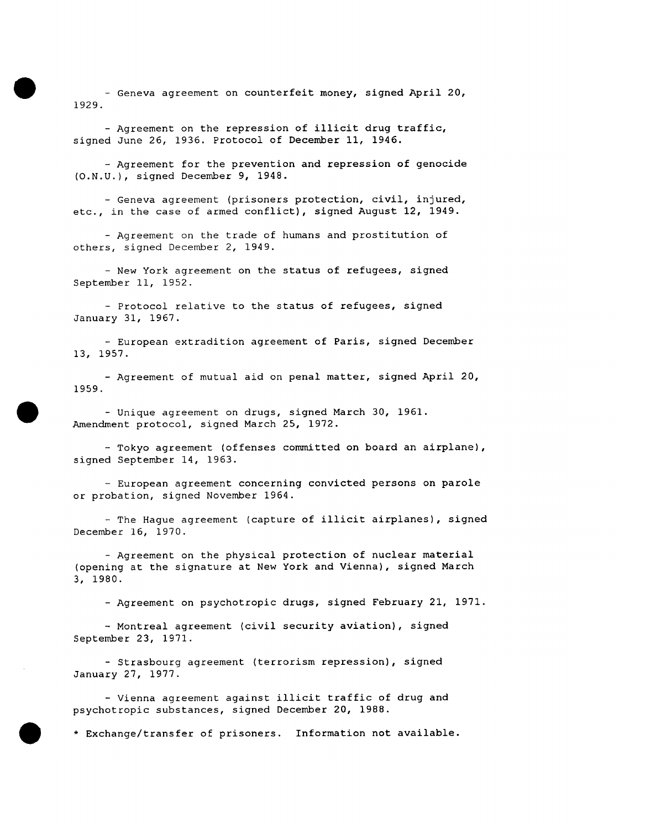**-** Geneva agreement on counterfeit money, signed April 20, 1929.

- Agreement on the repression of illicit drug traffic, signed June 26, 1936. Protocol of December 11, 1946.

- Agreement for the prevention and repression of genocide (O.N.U.), signed December 9, 1948.

- Geneva agreement (prisoners protection, civil, injured, etc., in the case of armed conflict), signed August 12, 1949.

- Agreement on the trade of humans and prostitution of others, signed December 2, 1949.

**-** New York agreement on the status of refugees, signed September Ii, 1952.

- Protocol relative to the status of refugees, signed January 31, 1967.

**-** European extradition agreement of Paris, signed December 13, 1957.

- Agreement of mutual aid on penal matter, signed April 20, 1959.

- Unique agreement on drugs, signed March 30, 1961. Amendment protocol, signed March 25, 1972.

**-** Tokyo agreement (offenses committed on board an airplane), signed September 14, 1963.

**-** European agreement concerning convicted persons on parole or probation, signed November 1964.

- The Hague agreement (capture of illicit airplanes), signed December 16, 1970.

- Agreement on the physical protection of nuclear material (opening at the signature at New York and Vienna), signed March 3, 1980.

**-** Agreement on psychotropic drugs, signed February 21, 1971.

**-** Montreal agreement (civil security aviation), signed September 23, 1971.

**-** Strasbourg agreement (terrorism repression), signed January 27, 1977.

- Vienna agreement against illicit traffic of drug and psychotropic substances, signed December 20, 1988.

\* Exchange/transfer of prisoners. Information not available.